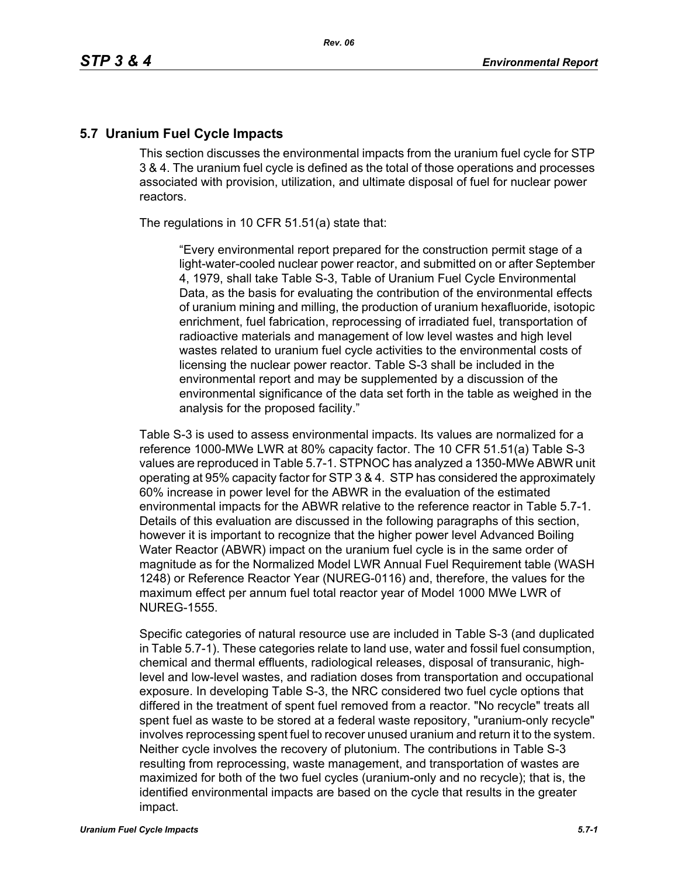## **5.7 Uranium Fuel Cycle Impacts**

This section discusses the environmental impacts from the uranium fuel cycle for STP 3 & 4. The uranium fuel cycle is defined as the total of those operations and processes associated with provision, utilization, and ultimate disposal of fuel for nuclear power reactors.

The regulations in 10 CFR 51.51(a) state that:

"Every environmental report prepared for the construction permit stage of a light-water-cooled nuclear power reactor, and submitted on or after September 4, 1979, shall take Table S-3, Table of Uranium Fuel Cycle Environmental Data, as the basis for evaluating the contribution of the environmental effects of uranium mining and milling, the production of uranium hexafluoride, isotopic enrichment, fuel fabrication, reprocessing of irradiated fuel, transportation of radioactive materials and management of low level wastes and high level wastes related to uranium fuel cycle activities to the environmental costs of licensing the nuclear power reactor. Table S-3 shall be included in the environmental report and may be supplemented by a discussion of the environmental significance of the data set forth in the table as weighed in the analysis for the proposed facility."

Table S-3 is used to assess environmental impacts. Its values are normalized for a reference 1000-MWe LWR at 80% capacity factor. The 10 CFR 51.51(a) Table S-3 values are reproduced in Table 5.7-1. STPNOC has analyzed a 1350-MWe ABWR unit operating at 95% capacity factor for STP 3 & 4. STP has considered the approximately 60% increase in power level for the ABWR in the evaluation of the estimated environmental impacts for the ABWR relative to the reference reactor in Table 5.7-1. Details of this evaluation are discussed in the following paragraphs of this section, however it is important to recognize that the higher power level Advanced Boiling Water Reactor (ABWR) impact on the uranium fuel cycle is in the same order of magnitude as for the Normalized Model LWR Annual Fuel Requirement table (WASH 1248) or Reference Reactor Year (NUREG-0116) and, therefore, the values for the maximum effect per annum fuel total reactor year of Model 1000 MWe LWR of NUREG-1555.

Specific categories of natural resource use are included in Table S-3 (and duplicated in Table 5.7-1). These categories relate to land use, water and fossil fuel consumption, chemical and thermal effluents, radiological releases, disposal of transuranic, highlevel and low-level wastes, and radiation doses from transportation and occupational exposure. In developing Table S-3, the NRC considered two fuel cycle options that differed in the treatment of spent fuel removed from a reactor. "No recycle" treats all spent fuel as waste to be stored at a federal waste repository, "uranium-only recycle" involves reprocessing spent fuel to recover unused uranium and return it to the system. Neither cycle involves the recovery of plutonium. The contributions in Table S-3 resulting from reprocessing, waste management, and transportation of wastes are maximized for both of the two fuel cycles (uranium-only and no recycle); that is, the identified environmental impacts are based on the cycle that results in the greater impact.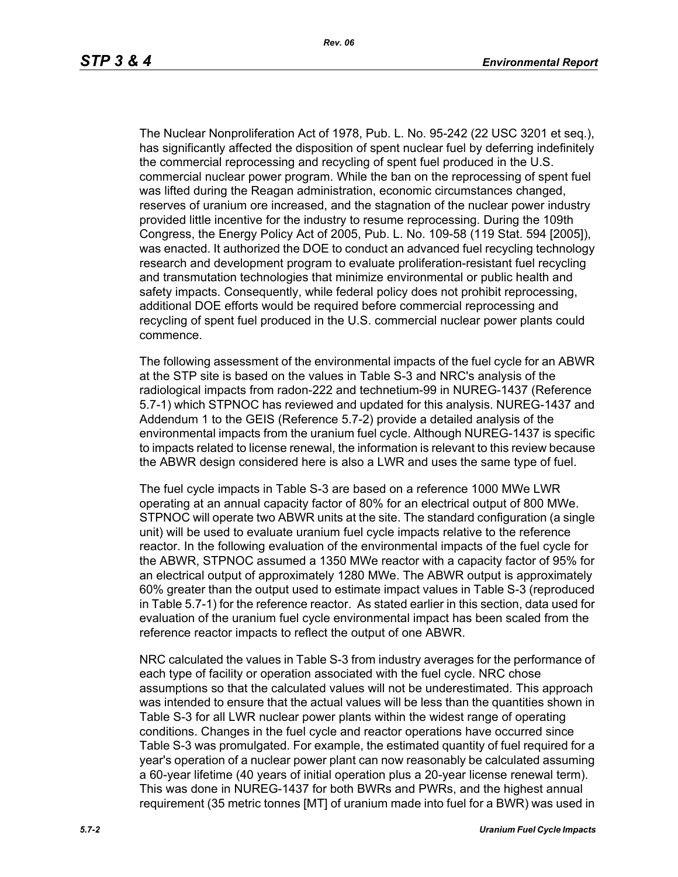The Nuclear Nonproliferation Act of 1978, Pub. L. No. 95-242 (22 USC 3201 et seq.), has significantly affected the disposition of spent nuclear fuel by deferring indefinitely the commercial reprocessing and recycling of spent fuel produced in the U.S. commercial nuclear power program. While the ban on the reprocessing of spent fuel was lifted during the Reagan administration, economic circumstances changed, reserves of uranium ore increased, and the stagnation of the nuclear power industry provided little incentive for the industry to resume reprocessing. During the 109th Congress, the Energy Policy Act of 2005, Pub. L. No. 109-58 (119 Stat. 594 [2005]), was enacted. It authorized the DOE to conduct an advanced fuel recycling technology research and development program to evaluate proliferation-resistant fuel recycling and transmutation technologies that minimize environmental or public health and safety impacts. Consequently, while federal policy does not prohibit reprocessing, additional DOE efforts would be required before commercial reprocessing and recycling of spent fuel produced in the U.S. commercial nuclear power plants could commence.

The following assessment of the environmental impacts of the fuel cycle for an ABWR at the STP site is based on the values in Table S-3 and NRC's analysis of the radiological impacts from radon-222 and technetium-99 in NUREG-1437 (Reference 5.7-1) which STPNOC has reviewed and updated for this analysis. NUREG-1437 and Addendum 1 to the GEIS (Reference 5.7-2) provide a detailed analysis of the environmental impacts from the uranium fuel cycle. Although NUREG-1437 is specific to impacts related to license renewal, the information is relevant to this review because the ABWR design considered here is also a LWR and uses the same type of fuel.

The fuel cycle impacts in Table S-3 are based on a reference 1000 MWe LWR operating at an annual capacity factor of 80% for an electrical output of 800 MWe. STPNOC will operate two ABWR units at the site. The standard configuration (a single unit) will be used to evaluate uranium fuel cycle impacts relative to the reference reactor. In the following evaluation of the environmental impacts of the fuel cycle for the ABWR, STPNOC assumed a 1350 MWe reactor with a capacity factor of 95% for an electrical output of approximately 1280 MWe. The ABWR output is approximately 60% greater than the output used to estimate impact values in Table S-3 (reproduced in Table 5.7-1) for the reference reactor. As stated earlier in this section, data used for evaluation of the uranium fuel cycle environmental impact has been scaled from the reference reactor impacts to reflect the output of one ABWR.

NRC calculated the values in Table S-3 from industry averages for the performance of each type of facility or operation associated with the fuel cycle. NRC chose assumptions so that the calculated values will not be underestimated. This approach was intended to ensure that the actual values will be less than the quantities shown in Table S-3 for all LWR nuclear power plants within the widest range of operating conditions. Changes in the fuel cycle and reactor operations have occurred since Table S-3 was promulgated. For example, the estimated quantity of fuel required for a year's operation of a nuclear power plant can now reasonably be calculated assuming a 60-year lifetime (40 years of initial operation plus a 20-year license renewal term). This was done in NUREG-1437 for both BWRs and PWRs, and the highest annual requirement (35 metric tonnes [MT] of uranium made into fuel for a BWR) was used in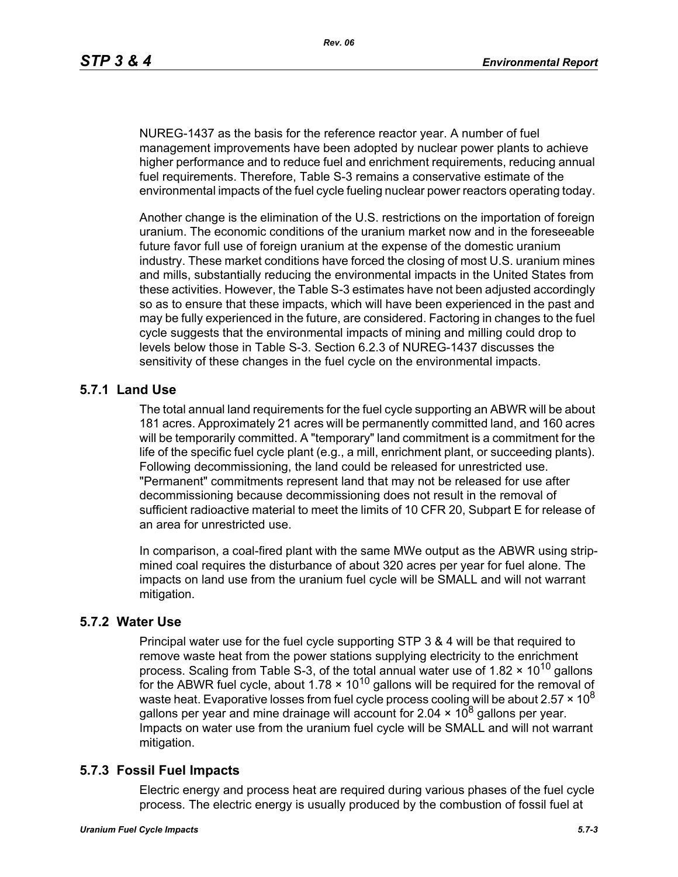NUREG-1437 as the basis for the reference reactor year. A number of fuel management improvements have been adopted by nuclear power plants to achieve higher performance and to reduce fuel and enrichment requirements, reducing annual fuel requirements. Therefore, Table S-3 remains a conservative estimate of the environmental impacts of the fuel cycle fueling nuclear power reactors operating today.

Another change is the elimination of the U.S. restrictions on the importation of foreign uranium. The economic conditions of the uranium market now and in the foreseeable future favor full use of foreign uranium at the expense of the domestic uranium industry. These market conditions have forced the closing of most U.S. uranium mines and mills, substantially reducing the environmental impacts in the United States from these activities. However, the Table S-3 estimates have not been adjusted accordingly so as to ensure that these impacts, which will have been experienced in the past and may be fully experienced in the future, are considered. Factoring in changes to the fuel cycle suggests that the environmental impacts of mining and milling could drop to levels below those in Table S-3. Section 6.2.3 of NUREG-1437 discusses the sensitivity of these changes in the fuel cycle on the environmental impacts.

# **5.7.1 Land Use**

The total annual land requirements for the fuel cycle supporting an ABWR will be about 181 acres. Approximately 21 acres will be permanently committed land, and 160 acres will be temporarily committed. A "temporary" land commitment is a commitment for the life of the specific fuel cycle plant (e.g., a mill, enrichment plant, or succeeding plants). Following decommissioning, the land could be released for unrestricted use. "Permanent" commitments represent land that may not be released for use after decommissioning because decommissioning does not result in the removal of sufficient radioactive material to meet the limits of 10 CFR 20, Subpart E for release of an area for unrestricted use.

In comparison, a coal-fired plant with the same MWe output as the ABWR using stripmined coal requires the disturbance of about 320 acres per year for fuel alone. The impacts on land use from the uranium fuel cycle will be SMALL and will not warrant mitigation.

### **5.7.2 Water Use**

Principal water use for the fuel cycle supporting STP 3 & 4 will be that required to remove waste heat from the power stations supplying electricity to the enrichment process. Scaling from Table S-3, of the total annual water use of 1.82  $\times$  10<sup>10</sup> gallons for the ABWR fuel cycle, about  $1.78 \times 10^{10}$  gallons will be required for the removal of waste heat. Evaporative losses from fuel cycle process cooling will be about 2.57  $\times$  10<sup>8</sup> gallons per year and mine drainage will account for 2.04  $\times$  10<sup>8</sup> gallons per year. Impacts on water use from the uranium fuel cycle will be SMALL and will not warrant mitigation.

### **5.7.3 Fossil Fuel Impacts**

Electric energy and process heat are required during various phases of the fuel cycle process. The electric energy is usually produced by the combustion of fossil fuel at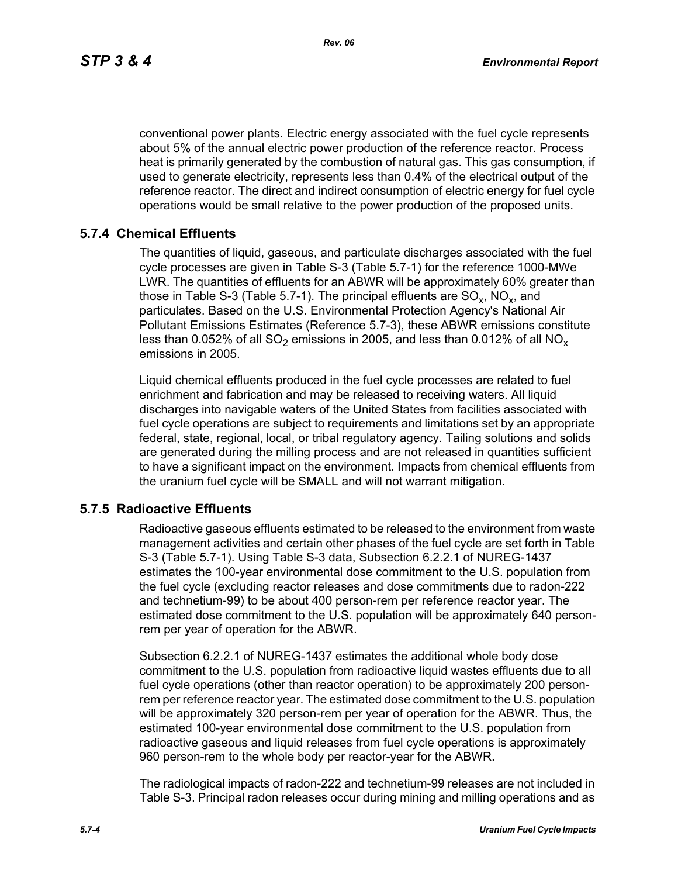*Rev. 06*

conventional power plants. Electric energy associated with the fuel cycle represents about 5% of the annual electric power production of the reference reactor. Process heat is primarily generated by the combustion of natural gas. This gas consumption, if used to generate electricity, represents less than 0.4% of the electrical output of the reference reactor. The direct and indirect consumption of electric energy for fuel cycle operations would be small relative to the power production of the proposed units.

# **5.7.4 Chemical Effluents**

The quantities of liquid, gaseous, and particulate discharges associated with the fuel cycle processes are given in Table S-3 (Table 5.7-1) for the reference 1000-MWe LWR. The quantities of effluents for an ABWR will be approximately 60% greater than those in Table S-3 (Table 5.7-1). The principal effluents are  $SO_x$ ,  $NO_x$ , and particulates. Based on the U.S. Environmental Protection Agency's National Air Pollutant Emissions Estimates (Reference 5.7-3), these ABWR emissions constitute less than 0.052% of all  $SO_2$  emissions in 2005, and less than 0.012% of all  $NO_x$ emissions in 2005.

Liquid chemical effluents produced in the fuel cycle processes are related to fuel enrichment and fabrication and may be released to receiving waters. All liquid discharges into navigable waters of the United States from facilities associated with fuel cycle operations are subject to requirements and limitations set by an appropriate federal, state, regional, local, or tribal regulatory agency. Tailing solutions and solids are generated during the milling process and are not released in quantities sufficient to have a significant impact on the environment. Impacts from chemical effluents from the uranium fuel cycle will be SMALL and will not warrant mitigation.

### **5.7.5 Radioactive Effluents**

Radioactive gaseous effluents estimated to be released to the environment from waste management activities and certain other phases of the fuel cycle are set forth in Table S-3 (Table 5.7-1). Using Table S-3 data, Subsection 6.2.2.1 of NUREG-1437 estimates the 100-year environmental dose commitment to the U.S. population from the fuel cycle (excluding reactor releases and dose commitments due to radon-222 and technetium-99) to be about 400 person-rem per reference reactor year. The estimated dose commitment to the U.S. population will be approximately 640 personrem per year of operation for the ABWR.

Subsection 6.2.2.1 of NUREG-1437 estimates the additional whole body dose commitment to the U.S. population from radioactive liquid wastes effluents due to all fuel cycle operations (other than reactor operation) to be approximately 200 personrem per reference reactor year. The estimated dose commitment to the U.S. population will be approximately 320 person-rem per year of operation for the ABWR. Thus, the estimated 100-year environmental dose commitment to the U.S. population from radioactive gaseous and liquid releases from fuel cycle operations is approximately 960 person-rem to the whole body per reactor-year for the ABWR.

The radiological impacts of radon-222 and technetium-99 releases are not included in Table S-3. Principal radon releases occur during mining and milling operations and as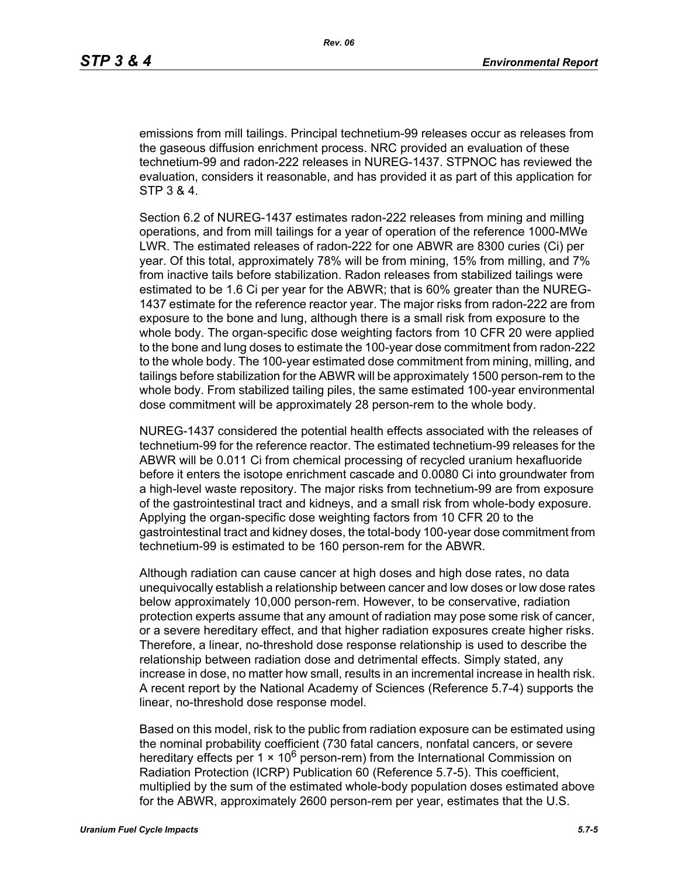emissions from mill tailings. Principal technetium-99 releases occur as releases from the gaseous diffusion enrichment process. NRC provided an evaluation of these technetium-99 and radon-222 releases in NUREG-1437. STPNOC has reviewed the evaluation, considers it reasonable, and has provided it as part of this application for STP 3 & 4.

Section 6.2 of NUREG-1437 estimates radon-222 releases from mining and milling operations, and from mill tailings for a year of operation of the reference 1000-MWe LWR. The estimated releases of radon-222 for one ABWR are 8300 curies (Ci) per year. Of this total, approximately 78% will be from mining, 15% from milling, and 7% from inactive tails before stabilization. Radon releases from stabilized tailings were estimated to be 1.6 Ci per year for the ABWR; that is 60% greater than the NUREG-1437 estimate for the reference reactor year. The major risks from radon-222 are from exposure to the bone and lung, although there is a small risk from exposure to the whole body. The organ-specific dose weighting factors from 10 CFR 20 were applied to the bone and lung doses to estimate the 100-year dose commitment from radon-222 to the whole body. The 100-year estimated dose commitment from mining, milling, and tailings before stabilization for the ABWR will be approximately 1500 person-rem to the whole body. From stabilized tailing piles, the same estimated 100-year environmental dose commitment will be approximately 28 person-rem to the whole body.

NUREG-1437 considered the potential health effects associated with the releases of technetium-99 for the reference reactor. The estimated technetium-99 releases for the ABWR will be 0.011 Ci from chemical processing of recycled uranium hexafluoride before it enters the isotope enrichment cascade and 0.0080 Ci into groundwater from a high-level waste repository. The major risks from technetium-99 are from exposure of the gastrointestinal tract and kidneys, and a small risk from whole-body exposure. Applying the organ-specific dose weighting factors from 10 CFR 20 to the gastrointestinal tract and kidney doses, the total-body 100-year dose commitment from technetium-99 is estimated to be 160 person-rem for the ABWR.

Although radiation can cause cancer at high doses and high dose rates, no data unequivocally establish a relationship between cancer and low doses or low dose rates below approximately 10,000 person-rem. However, to be conservative, radiation protection experts assume that any amount of radiation may pose some risk of cancer, or a severe hereditary effect, and that higher radiation exposures create higher risks. Therefore, a linear, no-threshold dose response relationship is used to describe the relationship between radiation dose and detrimental effects. Simply stated, any increase in dose, no matter how small, results in an incremental increase in health risk. A recent report by the National Academy of Sciences (Reference 5.7-4) supports the linear, no-threshold dose response model.

Based on this model, risk to the public from radiation exposure can be estimated using the nominal probability coefficient (730 fatal cancers, nonfatal cancers, or severe hereditary effects per 1  $\times$  10<sup>6</sup> person-rem) from the International Commission on Radiation Protection (ICRP) Publication 60 (Reference 5.7-5). This coefficient, multiplied by the sum of the estimated whole-body population doses estimated above for the ABWR, approximately 2600 person-rem per year, estimates that the U.S.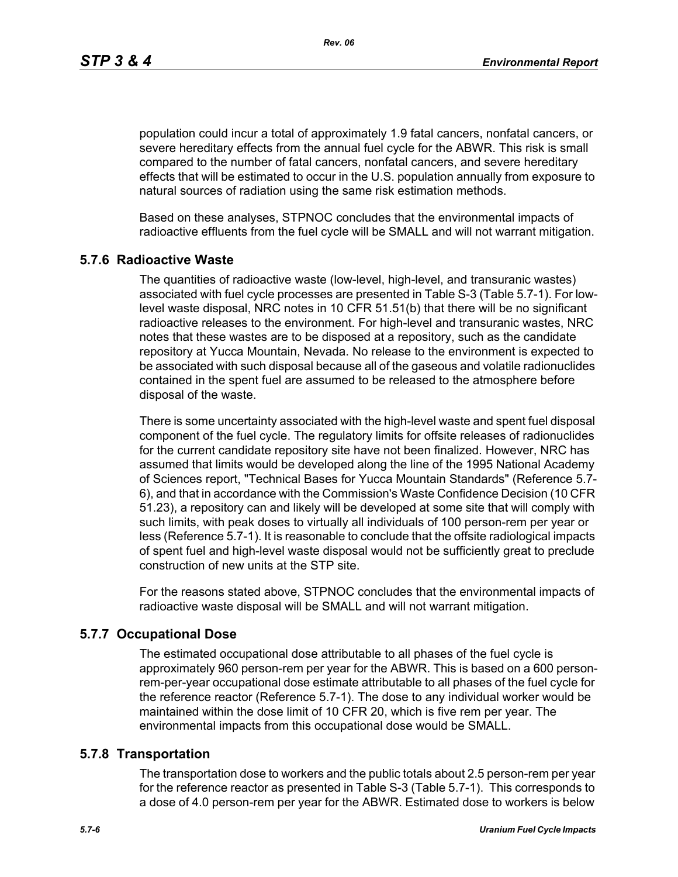*Rev. 06*

population could incur a total of approximately 1.9 fatal cancers, nonfatal cancers, or severe hereditary effects from the annual fuel cycle for the ABWR. This risk is small compared to the number of fatal cancers, nonfatal cancers, and severe hereditary effects that will be estimated to occur in the U.S. population annually from exposure to natural sources of radiation using the same risk estimation methods.

Based on these analyses, STPNOC concludes that the environmental impacts of radioactive effluents from the fuel cycle will be SMALL and will not warrant mitigation.

### **5.7.6 Radioactive Waste**

The quantities of radioactive waste (low-level, high-level, and transuranic wastes) associated with fuel cycle processes are presented in Table S-3 (Table 5.7-1). For lowlevel waste disposal, NRC notes in 10 CFR 51.51(b) that there will be no significant radioactive releases to the environment. For high-level and transuranic wastes, NRC notes that these wastes are to be disposed at a repository, such as the candidate repository at Yucca Mountain, Nevada. No release to the environment is expected to be associated with such disposal because all of the gaseous and volatile radionuclides contained in the spent fuel are assumed to be released to the atmosphere before disposal of the waste.

There is some uncertainty associated with the high-level waste and spent fuel disposal component of the fuel cycle. The regulatory limits for offsite releases of radionuclides for the current candidate repository site have not been finalized. However, NRC has assumed that limits would be developed along the line of the 1995 National Academy of Sciences report, "Technical Bases for Yucca Mountain Standards" (Reference 5.7- 6), and that in accordance with the Commission's Waste Confidence Decision (10 CFR 51.23), a repository can and likely will be developed at some site that will comply with such limits, with peak doses to virtually all individuals of 100 person-rem per year or less (Reference 5.7-1). It is reasonable to conclude that the offsite radiological impacts of spent fuel and high-level waste disposal would not be sufficiently great to preclude construction of new units at the STP site.

For the reasons stated above, STPNOC concludes that the environmental impacts of radioactive waste disposal will be SMALL and will not warrant mitigation.

#### **5.7.7 Occupational Dose**

The estimated occupational dose attributable to all phases of the fuel cycle is approximately 960 person-rem per year for the ABWR. This is based on a 600 personrem-per-year occupational dose estimate attributable to all phases of the fuel cycle for the reference reactor (Reference 5.7-1). The dose to any individual worker would be maintained within the dose limit of 10 CFR 20, which is five rem per year. The environmental impacts from this occupational dose would be SMALL.

#### **5.7.8 Transportation**

The transportation dose to workers and the public totals about 2.5 person-rem per year for the reference reactor as presented in Table S-3 (Table 5.7-1). This corresponds to a dose of 4.0 person-rem per year for the ABWR. Estimated dose to workers is below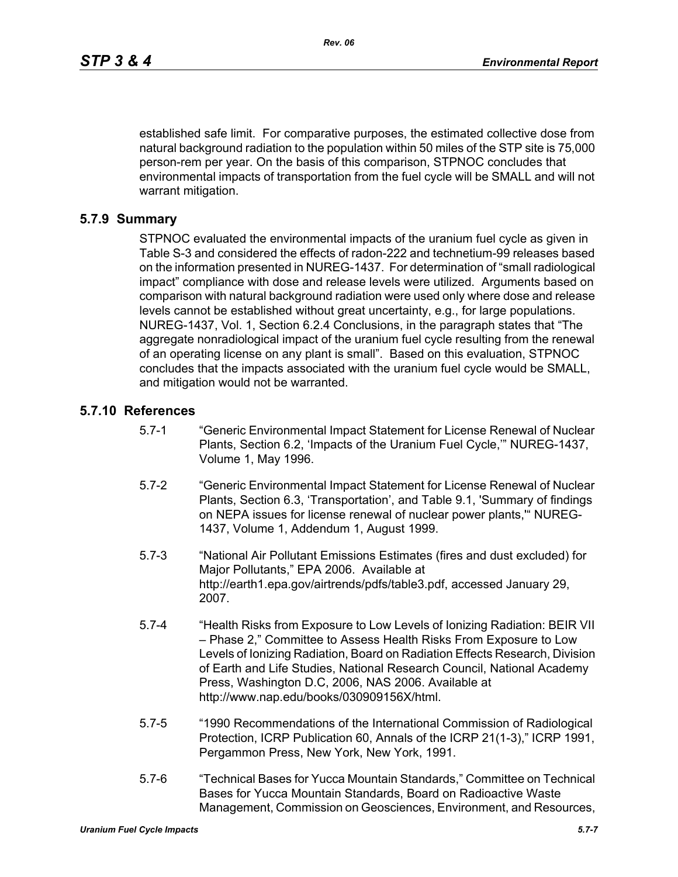established safe limit. For comparative purposes, the estimated collective dose from natural background radiation to the population within 50 miles of the STP site is 75,000 person-rem per year. On the basis of this comparison, STPNOC concludes that environmental impacts of transportation from the fuel cycle will be SMALL and will not warrant mitigation.

#### **5.7.9 Summary**

STPNOC evaluated the environmental impacts of the uranium fuel cycle as given in Table S-3 and considered the effects of radon-222 and technetium-99 releases based on the information presented in NUREG-1437. For determination of "small radiological impact" compliance with dose and release levels were utilized. Arguments based on comparison with natural background radiation were used only where dose and release levels cannot be established without great uncertainty, e.g., for large populations. NUREG-1437, Vol. 1, Section 6.2.4 Conclusions, in the paragraph states that "The aggregate nonradiological impact of the uranium fuel cycle resulting from the renewal of an operating license on any plant is small". Based on this evaluation, STPNOC concludes that the impacts associated with the uranium fuel cycle would be SMALL, and mitigation would not be warranted.

#### **5.7.10 References**

- 5.7-1 "Generic Environmental Impact Statement for License Renewal of Nuclear Plants, Section 6.2, 'Impacts of the Uranium Fuel Cycle,'" NUREG-1437, Volume 1, May 1996.
- 5.7-2 "Generic Environmental Impact Statement for License Renewal of Nuclear Plants, Section 6.3, 'Transportation', and Table 9.1, 'Summary of findings on NEPA issues for license renewal of nuclear power plants,'" NUREG-1437, Volume 1, Addendum 1, August 1999.
- 5.7-3 "National Air Pollutant Emissions Estimates (fires and dust excluded) for Major Pollutants," EPA 2006. Available at http://earth1.epa.gov/airtrends/pdfs/table3.pdf, accessed January 29, 2007.
- 5.7-4 "Health Risks from Exposure to Low Levels of Ionizing Radiation: BEIR VII – Phase 2," Committee to Assess Health Risks From Exposure to Low Levels of Ionizing Radiation, Board on Radiation Effects Research, Division of Earth and Life Studies, National Research Council, National Academy Press, Washington D.C, 2006, NAS 2006. Available at http://www.nap.edu/books/030909156X/html.
- 5.7-5 "1990 Recommendations of the International Commission of Radiological Protection, ICRP Publication 60, Annals of the ICRP 21(1-3)," ICRP 1991, Pergammon Press, New York, New York, 1991.
- 5.7-6 "Technical Bases for Yucca Mountain Standards," Committee on Technical Bases for Yucca Mountain Standards, Board on Radioactive Waste Management, Commission on Geosciences, Environment, and Resources,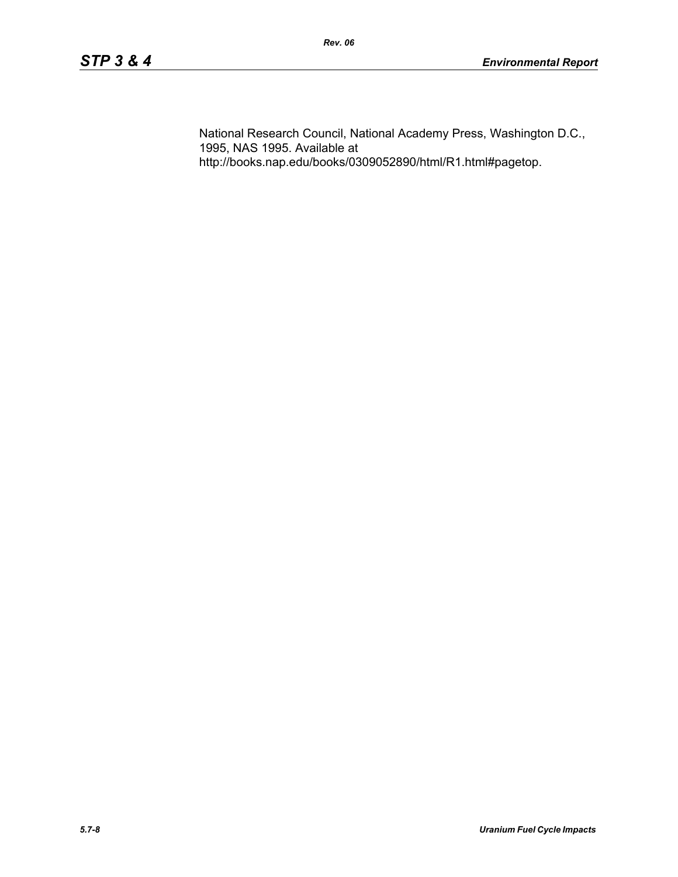National Research Council, National Academy Press, Washington D.C., 1995, NAS 1995. Available at http://books.nap.edu/books/0309052890/html/R1.html#pagetop.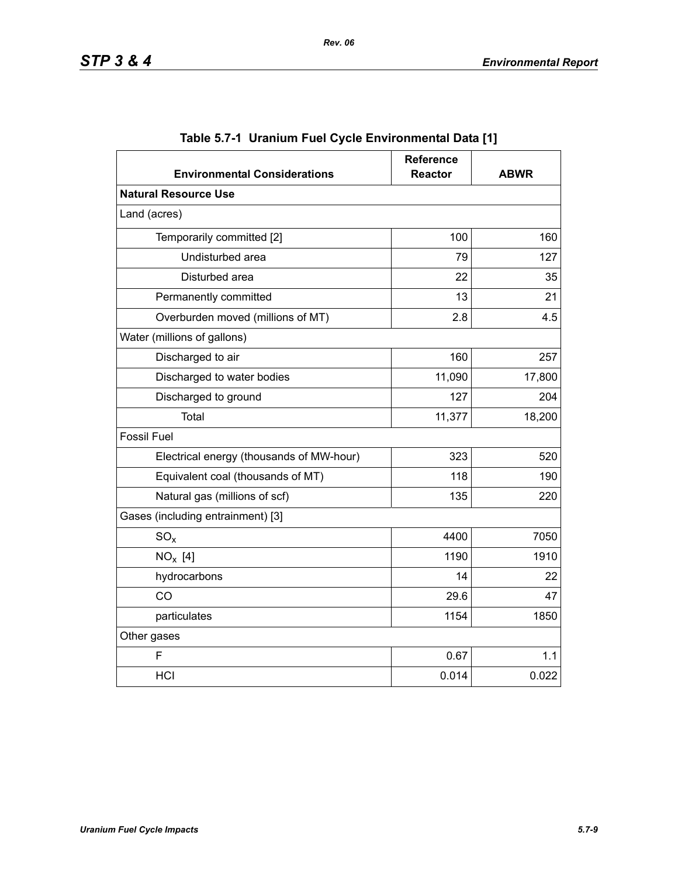| <b>Environmental Considerations</b>      | <b>Reference</b><br><b>Reactor</b> | <b>ABWR</b> |  |
|------------------------------------------|------------------------------------|-------------|--|
| <b>Natural Resource Use</b>              |                                    |             |  |
| Land (acres)                             |                                    |             |  |
| Temporarily committed [2]                | 100                                | 160         |  |
| Undisturbed area                         | 79                                 | 127         |  |
| Disturbed area                           | 22                                 | 35          |  |
| Permanently committed                    | 13                                 | 21          |  |
| Overburden moved (millions of MT)        | 2.8                                | 4.5         |  |
| Water (millions of gallons)              |                                    |             |  |
| Discharged to air                        | 160                                | 257         |  |
| Discharged to water bodies               | 11,090                             | 17,800      |  |
| Discharged to ground                     | 127                                | 204         |  |
| Total                                    | 11,377                             | 18,200      |  |
| <b>Fossil Fuel</b>                       |                                    |             |  |
| Electrical energy (thousands of MW-hour) | 323                                | 520         |  |
| Equivalent coal (thousands of MT)        |                                    | 190         |  |
| Natural gas (millions of scf)            | 135                                | 220         |  |
| Gases (including entrainment) [3]        |                                    |             |  |
| $SO_{x}$                                 | 4400                               | 7050        |  |
| $NO_x$ [4]                               | 1190                               | 1910        |  |
| hydrocarbons                             | 14                                 | 22          |  |
| CO                                       | 29.6                               | 47          |  |
| particulates                             | 1154                               | 1850        |  |
| Other gases                              |                                    |             |  |
| F                                        | 0.67                               | 1.1         |  |
| HCI                                      | 0.014                              | 0.022       |  |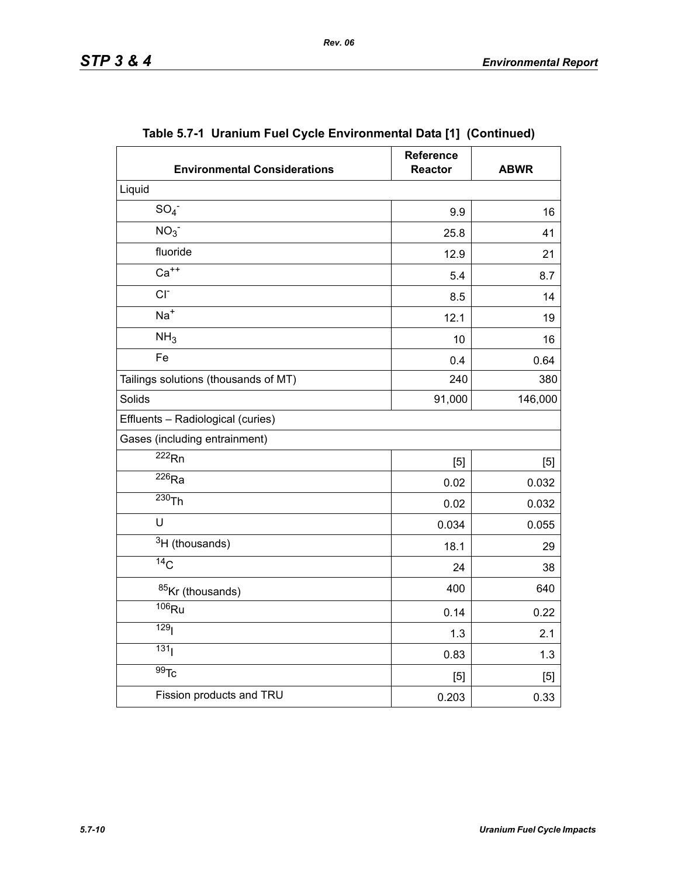| <b>Environmental Considerations</b>  | <b>Reference</b><br><b>Reactor</b> | <b>ABWR</b> |  |
|--------------------------------------|------------------------------------|-------------|--|
| Liquid                               |                                    |             |  |
| SO <sub>4</sub>                      | 9.9                                | 16          |  |
| NO <sub>3</sub>                      | 25.8                               | 41          |  |
| fluoride                             | 12.9                               | 21          |  |
| $Ca++$                               | 5.4                                | 8.7         |  |
| $CI-$                                | 8.5                                | 14          |  |
| $Na+$                                | 12.1                               | 19          |  |
| NH <sub>3</sub>                      | 10                                 | 16          |  |
| Fe                                   | 0.4                                | 0.64        |  |
| Tailings solutions (thousands of MT) | 240                                | 380         |  |
| Solids                               | 91,000                             | 146,000     |  |
| Effluents - Radiological (curies)    |                                    |             |  |
| Gases (including entrainment)        |                                    |             |  |
| $\overline{222}$ <sub>Rn</sub>       | [5]                                | [5]         |  |
| $\overline{^{226}}$ Ra               | 0.02                               | 0.032       |  |
| $230$ Th                             | 0.02                               | 0.032       |  |
| U                                    | 0.034                              | 0.055       |  |
| $3H$ (thousands)                     | 18.1                               | 29          |  |
| $\overline{^{14}C}$                  | 24                                 | 38          |  |
| 85Kr (thousands)                     | 400                                | 640         |  |
| $106$ Ru                             | 0.14                               | 0.22        |  |
| 129 <sub>l</sub>                     | 1.3                                | 2.1         |  |
| 131 <sub>1</sub>                     | 0.83                               | 1.3         |  |
| $\overline{99}$ Tc                   | [5]                                | $[5]$       |  |
| Fission products and TRU             | 0.203                              | 0.33        |  |